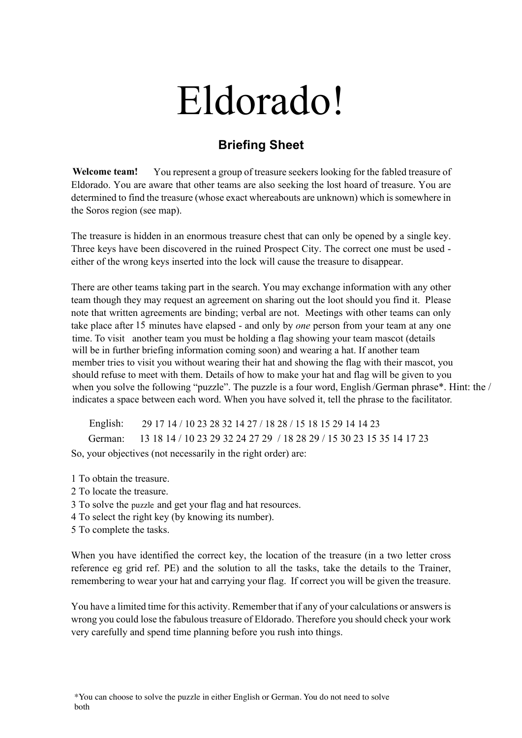## Eldorado!

## **Briefing Sheet**

You represent a group of treasure seekers looking for the fabled treasure of Eldorado. You are aware that other teams are also seeking the lost hoard of treasure. You are determined to find the treasure (whose exact whereabouts are unknown) which is somewhere in the Soros region (see map). **Welcome team!**

The treasure is hidden in an enormous treasure chest that can only be opened by a single key. Three keys have been discovered in the ruined Prospect City. The correct one must be used either of the wrong keys inserted into the lock will cause the treasure to disappear.

There are other teams taking part in the search. You may exchange information with any other team though they may request an agreement on sharing out the loot should you find it. Please note that written agreements are binding; verbal are not. Meetings with other teams can only take place after 15 minutes have elapsed - and only by *one* person from your team at any one time. To visit another team you must be holding a flag showing your team mascot (details will be in further briefing information coming soon) and wearing a hat. If another team member tries to visit you without wearing their hat and showing the flag with their mascot, you should refuse to meet with them. Details of how to make your hat and flag will be given to you **29 17 14 / 10 23 28 32 14 27 / 18 28 / 15 18 15 29 14 14 23** indicates a space between each word. When you have solved it, tell the phrase to the facilitator. when you solve the following "puzzle". The puzzle is a four word, English *(German phrase<sup>\*</sup>*. Hint: the /

English: 29 17 14 / 10 23 28 32 14 27 / 18 28 / 15 18 15 29 14 14 23 So, your objectives (not necessarily in the right order) are:

1 To obtain the treasure.

- 2 To locate the treasure.
- 3 To solve the puzzle and get your flag and hat resources.
- 4 To select the right key (by knowing its number).
- 5 To complete the tasks.

When you have identified the correct key, the location of the treasure (in a two letter cross reference eg grid ref. PE) and the solution to all the tasks, take the details to the Trainer, remembering to wear your hat and carrying your flag. If correct you will be given the treasure. when you solve the following ""puzzle". The puzzle is a four word, English/German phrase\*. Hint: the *n* mdicates a space between each word. When you have solved it, tell the phrase to the facilitator.<br>English: 29 17 14 /

You have a limited time for this activity. Remember that if any of your calculations or answers is wrong you could lose the fabulous treasure of Eldorado. Therefore you should check your work very carefully and spend time planning before you rush into things.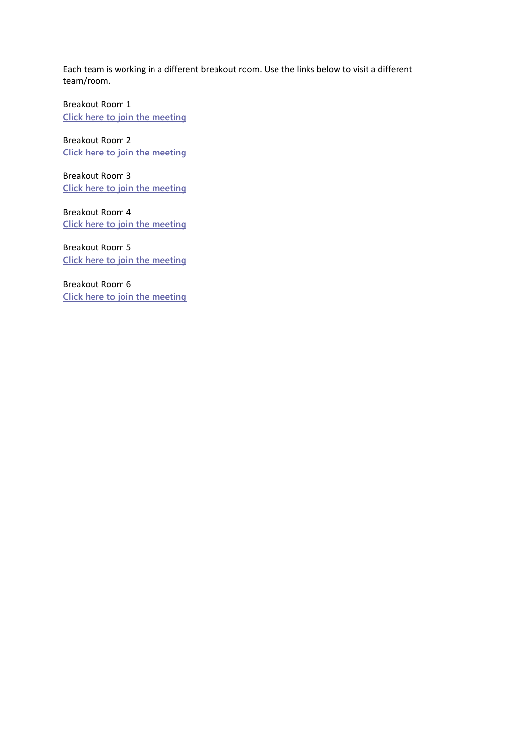Each team is working in a different breakout room. Use the links below to visit a different team/room.

Breakout Room 1 **[Click here to join the meeting](https://teams.microsoft.com/l/meetup-join/19%3ameeting_NTE3N2ZjOTgtZDg1MC00NTcwLTg3NzEtZjJlODlmOTNhNTRj%40thread.v2/0?context=%7b%22Tid%22%3a%2276af31f8-5c38-4e29-9ee2-2674305160f2%22%2c%22Oid%22%3a%22b209b8a2-f589-4bb8-89f4-36323de02c00%22%7d)**

Breakout Room 2 **[Click here to join the meeting](https://teams.microsoft.com/l/meetup-join/19%3ameeting_NjE0MjI0NTktNjI0ZS00MGVjLWJlZTItZmU1YWY5MjllNjVl%40thread.v2/0?context=%7b%22Tid%22%3a%2276af31f8-5c38-4e29-9ee2-2674305160f2%22%2c%22Oid%22%3a%22b209b8a2-f589-4bb8-89f4-36323de02c00%22%7d)**

Breakout Room 3 **[Click here to join the meeting](https://teams.microsoft.com/l/meetup-join/19%3ameeting_OWM1NDVjMDEtNjVkYy00MjZhLWJiZTUtYmIzMGM3ZTc4OTk5%40thread.v2/0?context=%7b%22Tid%22%3a%2276af31f8-5c38-4e29-9ee2-2674305160f2%22%2c%22Oid%22%3a%22b209b8a2-f589-4bb8-89f4-36323de02c00%22%7d)**

Breakout Room 4 **[Click here to join the meeting](https://teams.microsoft.com/l/meetup-join/19%3ameeting_ZWM3MzljOTctMzkxOS00ZWUxLTlkNTEtMjA5YmJhNDQzMWEz%40thread.v2/0?context=%7b%22Tid%22%3a%2276af31f8-5c38-4e29-9ee2-2674305160f2%22%2c%22Oid%22%3a%22b209b8a2-f589-4bb8-89f4-36323de02c00%22%7d)**

Breakout Room 5 **[Click here to join the meeting](https://teams.microsoft.com/l/meetup-join/19%3ameeting_NWY2NjMyNDQtZWMzMy00MWI5LThhNzYtMDlkYTJmMDQwMmVh%40thread.v2/0?context=%7b%22Tid%22%3a%2276af31f8-5c38-4e29-9ee2-2674305160f2%22%2c%22Oid%22%3a%22b209b8a2-f589-4bb8-89f4-36323de02c00%22%7d)**

Breakout Room 6 **[Click here to join the meeting](https://teams.microsoft.com/l/meetup-join/19%3ameeting_NjUwZDNmMmYtYzNiMi00NzBkLTlhMTktM2IzZmQ5N2M5ODM4%40thread.v2/0?context=%7b%22Tid%22%3a%2276af31f8-5c38-4e29-9ee2-2674305160f2%22%2c%22Oid%22%3a%22b209b8a2-f589-4bb8-89f4-36323de02c00%22%7d)**